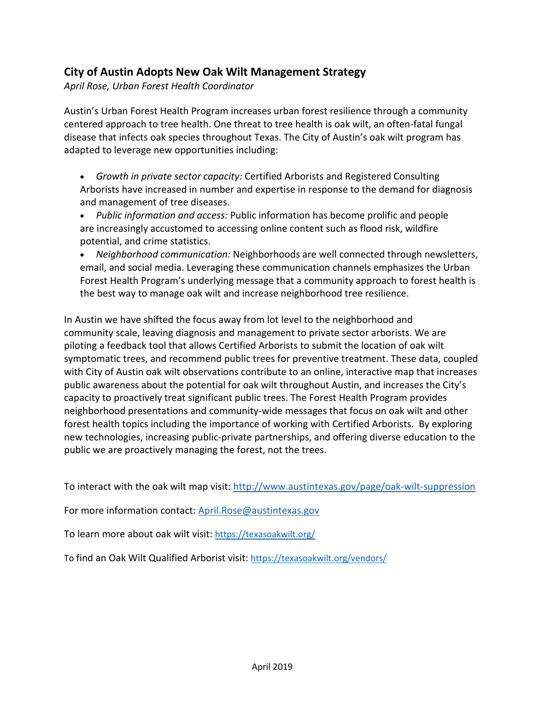## **City of Austin Adopts New Oak Wilt Management Strategy**

*April Rose, Urban Forest Health Coordinator*

Austin's Urban Forest Health Program increases urban forest resilience through a community centered approach to tree health. One threat to tree health is oak wilt, an often-fatal fungal disease that infects oak species throughout Texas. The City of Austin's oak wilt program has adapted to leverage new opportunities including:

• *Growth in private sector capacity:* Certified Arborists and Registered Consulting Arborists have increased in number and expertise in response to the demand for diagnosis and management of tree diseases.

• *Public information and access:* Public information has become prolific and people are increasingly accustomed to accessing online content such as flood risk, wildfire potential, and crime statistics.

• *Neighborhood communication:* Neighborhoods are well connected through newsletters, email, and social media. Leveraging these communication channels emphasizes the Urban Forest Health Program's underlying message that a community approach to forest health is the best way to manage oak wilt and increase neighborhood tree resilience.

In Austin we have shifted the focus away from lot level to the neighborhood and community scale, leaving diagnosis and management to private sector arborists. We are piloting a feedback tool that allows Certified Arborists to submit the location of oak wilt symptomatic trees, and recommend public trees for preventive treatment. These data, coupled with City of Austin oak wilt observations contribute to an online, interactive map that increases public awareness about the potential for oak wilt throughout Austin, and increases the City's capacity to proactively treat significant public trees. The Forest Health Program provides neighborhood presentations and community-wide messages that focus on oak wilt and other forest health topics including the importance of working with Certified Arborists. By exploring new technologies, increasing public-private partnerships, and offering diverse education to the public we are proactively managing the forest, not the trees.

To interact with the oak wilt map visit: <http://www.austintexas.gov/page/oak-wilt-suppression>

For more information contact[: April.Rose@austintexas.gov](mailto:April.Rose@austintexas.gov)

To learn more about oak wilt visit:<https://texasoakwilt.org/>

To find an Oak Wilt Qualified Arborist visit[: https://texasoakwilt.org/vendors/](https://texasoakwilt.org/vendors/)